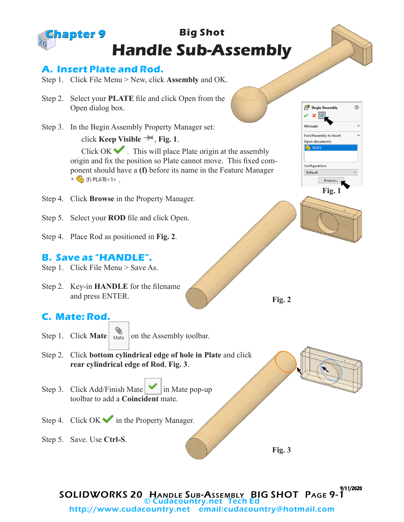#### **Big Shot Handle Sub-Assembly Chapter 9**

#### **A. Insert Plate and Rod.**

- Step 1. Click File Menu > New, click **Assembly** and OK.
- Step 2. Select your **PLATE** file and click Open from the Open dialog box.
- Step 3. In the Begin Assembly Property Manager set:

click **Keep Visible** , **Fig. 1**.

**Begin Assembly** ◉ ✓ - × I Messan Part/Assembly to Inser Α Open documents: <sup>4</sup> PLATE Configuration: Default **Browse Fig. 1**

Click  $OK \rightarrow$ . This will place Plate origin at the assembly origin and fix the position so Plate cannot move. This fixed component should have a **(f)** before its name in the Feature Manager  $\triangleright$   $\begin{pmatrix} 0 \\ 0 \end{pmatrix}$  (f) PLATE<1>.

- Step 4. Click **Browse** in the Property Manager.
- Step 5. Select your **ROD** file and click Open.
- Step 4. Place Rod as positioned in **Fig. 2**.

## **B. Save as "HANDLE".**

Step 1. Click File Menu > Save As.

Step 2. Key-in **HANDLE** for the filename and press ENTER.

# **C. Mate: Rod.**

- Step 1. Click **Mate**  $\left| \bigotimes_{\text{Mate}} \right|$  on the Assembly toolbar.
- Step 2. Click **bottom cylindrical edge of hole in Plate** and click **rear cylindrical edge of Rod**, **Fig. 3**.
- Step 3. Click Add/Finish Mate  $\vert \cdot \vert$  in Mate pop-up toolbar to add a **Coincident** mate.
- Step 4. Click  $OK \rightarrow \infty$  in the Property Manager.
- Step 5. Save. Use **Ctrl-S**.

**Fig. 3**

**Fig. 2**

SOLIDWORKS 20 HANDLE SUB-ASSEMBLY BIG SHOT PAGE 9-1 9/11/2020 © Cudacountry.net Tech Ed http://www.cudacountry.net email:cudacountry@hotmail.com